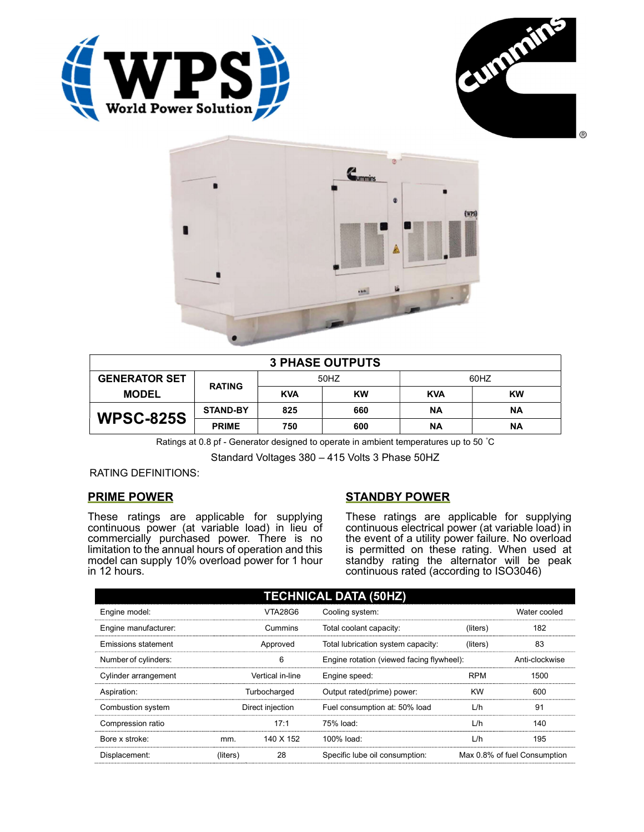





| <b>3 PHASE OUTPUTS</b> |                 |            |           |            |           |  |
|------------------------|-----------------|------------|-----------|------------|-----------|--|
| <b>GENERATOR SET</b>   | <b>RATING</b>   | 50HZ       |           | 60HZ       |           |  |
| <b>MODEL</b>           |                 | <b>KVA</b> | <b>KW</b> | <b>KVA</b> | <b>KW</b> |  |
| <b>WPSC-825S</b>       | <b>STAND-BY</b> | 825        | 660       | <b>NA</b>  | ΝA        |  |
|                        | <b>PRIME</b>    | 750        | 600       | ΝA         | ΝA        |  |

Ratings at 0.8 pf - Generator designed to operate in ambient temperatures up to 50 °C

Standard Voltages 380 – 415 Volts 3 Phase 50HZ

RATING DEFINITIONS:

# PRIME POWER

These ratings are applicable for supplying continuous power (at variable load) in lieu of commercially purchased power. There is no limitation to the annual hours of operation and this model can supply 10% overload power for 1 hour in 12 hours.

# STANDBY POWER

These ratings are applicable for supplying continuous electrical power (at variable load) in the event of a utility power failure. No overload is permitted on these rating. When used at standby rating the alternator will be peak continuous rated (according to ISO3046)

| <b>TECHNICAL DATA (50HZ)</b> |                  |           |                                           |            |                              |  |
|------------------------------|------------------|-----------|-------------------------------------------|------------|------------------------------|--|
| Engine model:                |                  | VTA28G6   | Cooling system:                           |            | Water cooled                 |  |
| Engine manufacturer:         |                  | Cummins   | Total coolant capacity:                   | (liters)   | 182                          |  |
| Emissions statement          | Approved         |           | Total lubrication system capacity:        | (liters)   | 83                           |  |
| Number of cylinders:         | 6                |           | Engine rotation (viewed facing flywheel): |            | Anti-clockwise               |  |
| Cylinder arrangement         | Vertical in-line |           | Engine speed:                             | <b>RPM</b> | 1500                         |  |
| Aspiration:                  | Turbocharged     |           | Output rated(prime) power:                | <b>KW</b>  | 600                          |  |
| Combustion system            | Direct injection |           | Fuel consumption at: 50% load             | L/h        | 91                           |  |
| Compression ratio            |                  | 17:1      | 75% load:                                 | L/h        | 140                          |  |
| Bore x stroke:               | mm.              | 140 X 152 | 100% load:                                | L/h        | 195                          |  |
| Displacement:                | (liters)         | 28        | Specific lube oil consumption:            |            | Max 0.8% of fuel Consumption |  |